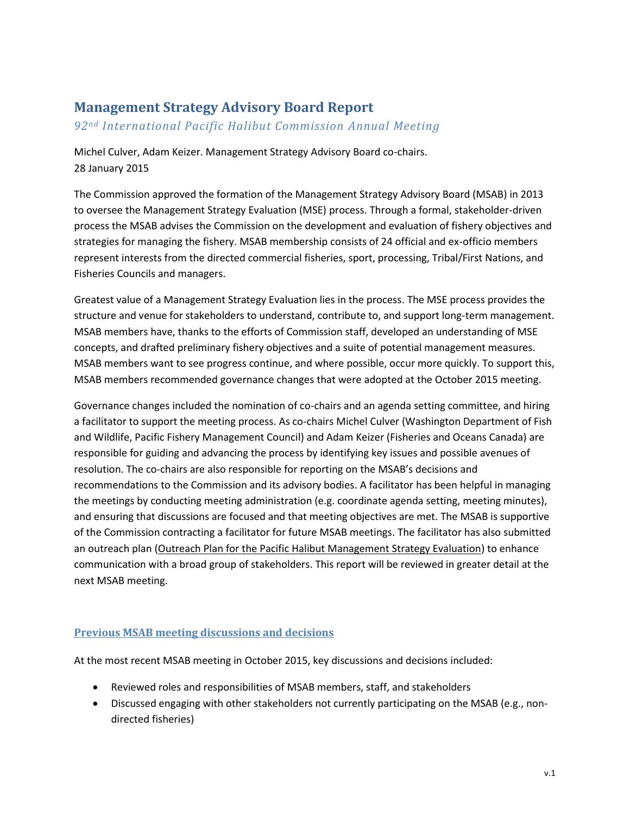# **Management Strategy Advisory Board Report**

*92nd International Pacific Halibut Commission Annual Meeting*

Michel Culver, Adam Keizer. Management Strategy Advisory Board co-chairs. 28 January 2015

The Commission approved the formation of the Management Strategy Advisory Board (MSAB) in 2013 to oversee the Management Strategy Evaluation (MSE) process. Through a formal, stakeholder-driven process the MSAB advises the Commission on the development and evaluation of fishery objectives and strategies for managing the fishery. MSAB membership consists of 24 official and ex-officio members represent interests from the directed commercial fisheries, sport, processing, Tribal/First Nations, and Fisheries Councils and managers.

Greatest value of a Management Strategy Evaluation lies in the process. The MSE process provides the structure and venue for stakeholders to understand, contribute to, and support long-term management. MSAB members have, thanks to the efforts of Commission staff, developed an understanding of MSE concepts, and drafted preliminary fishery objectives and a suite of potential management measures. MSAB members want to see progress continue, and where possible, occur more quickly. To support this, MSAB members recommended governance changes that were adopted at the October 2015 meeting.

Governance changes included the nomination of co-chairs and an agenda setting committee, and hiring a facilitator to support the meeting process. As co-chairs Michel Culver (Washington Department of Fish and Wildlife, Pacific Fishery Management Council) and Adam Keizer (Fisheries and Oceans Canada) are responsible for guiding and advancing the process by identifying key issues and possible avenues of resolution. The co-chairs are also responsible for reporting on the MSAB's decisions and recommendations to the Commission and its advisory bodies. A facilitator has been helpful in managing the meetings by conducting meeting administration (e.g. coordinate agenda setting, meeting minutes), and ensuring that discussions are focused and that meeting objectives are met. The MSAB is supportive of the Commission contracting a facilitator for future MSAB meetings. The facilitator has also submitted an outreach plan (Outreach Plan for the Pacific Halibut Management Strategy Evaluation) to enhance communication with a broad group of stakeholders. This report will be reviewed in greater detail at the next MSAB meeting.

## **Previous MSAB meeting discussions and decisions**

At the most recent MSAB meeting in October 2015, key discussions and decisions included:

- Reviewed roles and responsibilities of MSAB members, staff, and stakeholders
- Discussed engaging with other stakeholders not currently participating on the MSAB (e.g., nondirected fisheries)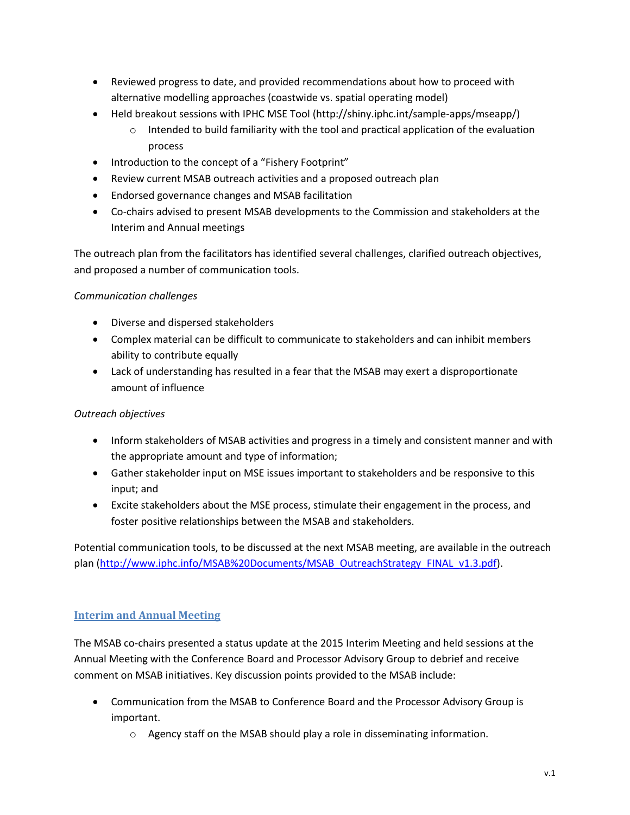- Reviewed progress to date, and provided recommendations about how to proceed with alternative modelling approaches (coastwide vs. spatial operating model)
- Held breakout sessions with IPHC MSE Tool (http://shiny.iphc.int/sample-apps/mseapp/)
	- $\circ$  Intended to build familiarity with the tool and practical application of the evaluation process
- Introduction to the concept of a "Fishery Footprint"
- Review current MSAB outreach activities and a proposed outreach plan
- Endorsed governance changes and MSAB facilitation
- Co-chairs advised to present MSAB developments to the Commission and stakeholders at the Interim and Annual meetings

The outreach plan from the facilitators has identified several challenges, clarified outreach objectives, and proposed a number of communication tools.

#### *Communication challenges*

- Diverse and dispersed stakeholders
- Complex material can be difficult to communicate to stakeholders and can inhibit members ability to contribute equally
- Lack of understanding has resulted in a fear that the MSAB may exert a disproportionate amount of influence

### *Outreach objectives*

- Inform stakeholders of MSAB activities and progress in a timely and consistent manner and with the appropriate amount and type of information;
- Gather stakeholder input on MSE issues important to stakeholders and be responsive to this input; and
- Excite stakeholders about the MSE process, stimulate their engagement in the process, and foster positive relationships between the MSAB and stakeholders.

Potential communication tools, to be discussed at the next MSAB meeting, are available in the outreach plan [\(http://www.iphc.info/MSAB%20Documents/MSAB\\_OutreachStrategy\\_FINAL\\_v1.3.pdf\)](http://www.iphc.info/MSAB%20Documents/MSAB_OutreachStrategy_FINAL_v1.3.pdf).

### **Interim and Annual Meeting**

The MSAB co-chairs presented a status update at the 2015 Interim Meeting and held sessions at the Annual Meeting with the Conference Board and Processor Advisory Group to debrief and receive comment on MSAB initiatives. Key discussion points provided to the MSAB include:

- Communication from the MSAB to Conference Board and the Processor Advisory Group is important.
	- $\circ$  Agency staff on the MSAB should play a role in disseminating information.